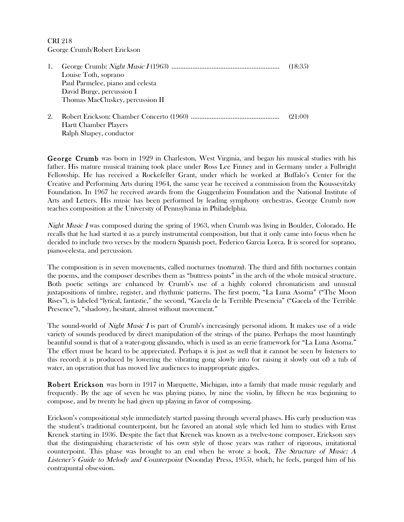Ralph Shapey, conductor

| $\perp$ . | Louise Toth, soprano             | (18:35) |
|-----------|----------------------------------|---------|
|           | Paul Parmelee, piano and celesta |         |
|           | David Burge, percussion I        |         |
|           | Thomas MacCluskey, percussion II |         |
|           | Hartt Chamber Players            | (21:00) |

George Crumb was born in 1929 in Charleston, West Virginia, and began his musical studies with his father. His mature musical training took place under Ross Lee Finney and in Germany under a Fulbright Fellowship. He has received a Rockefeller Grant, under which he worked at Buffalo's Center for the Creative and Performing Arts during 1964, the same year he received a commission from the Koussevitzky Foundation. In 1967 he received awards from the Guggenheim Foundation and the National Institute of Arts and Letters. His music has been performed by leading symphony orchestras. George Crumb now teaches composition at the University of Pennsylvania in Philadelphia.

Night Music I was composed during the spring of 1963, when Crumb was living in Boulder, Colorado. He recalls that he had started it as a purely instrumental composition, but that it only came into focus when he decided to include two verses by the modern Spanish poet, Federico Garcia Lorca. It is scored for soprano, piano-celesta, and percussion.

The composition is in seven movements, called nocturnes (*notturni*). The third and fifth nocturnes contain the poems, and the composer describes them as "buttress points" in the arch of the whole musical structure. Both poetic settings are enhanced by Crumb's use of a highly colored chromaticism and unusual juxtapositions of timbre, register, and rhythmic patterns. The first poem, "La Luna Asoma" ("The Moon Rises"), is labeled "lyrical, fantastic," the second, "Gacela de la Terrible Presencia" ("Gacela of the Terrible Presence"), "shadowy, hesitant, almost without movement."

The sound-world of *Night Music I* is part of Crumb's increasingly personal idiom. It makes use of a wide variety of sounds produced by direct manipulation of the strings of the piano. Perhaps the most hauntingly beautiful sound is that of a water-gong glissando, which is used as an eerie framework for "La Luna Asoma." The effect must be heard to be appreciated. Perhaps it is just as well that it cannot be seen by listeners to this record; it is produced by lowering the vibrating gong slowly into (or raising it slowly out of) a tub of water, an operation that has moved live audiences to inappropriate giggles.

Robert Erickson was born in 1917 in Marquette, Michigan, into a family that made music regularly and frequently. By the age of seven he was playing piano, by nine the violin, by fifteen he was beginning to compose, and by twenty he had given up playing in favor of composing.

Erickson's compositional style immediately started passing through several phases. His early production was the student's traditional counterpoint, but he favored an atonal style which led him to studies with Ernst Krenek starting in 1936. Despite the fact that Krenek was known as a twelve-tone composer, Erickson says that the distinguishing characteristic of his own style of those years was rather of rigorous, imitational counterpoint. This phase was brought to an end when he wrote a book, The Structure of Music: A Listener's Guide to Melody and Counterpoint (Noonday Press, 1955), which, he feels, purged him of his contrapuntal obsession.